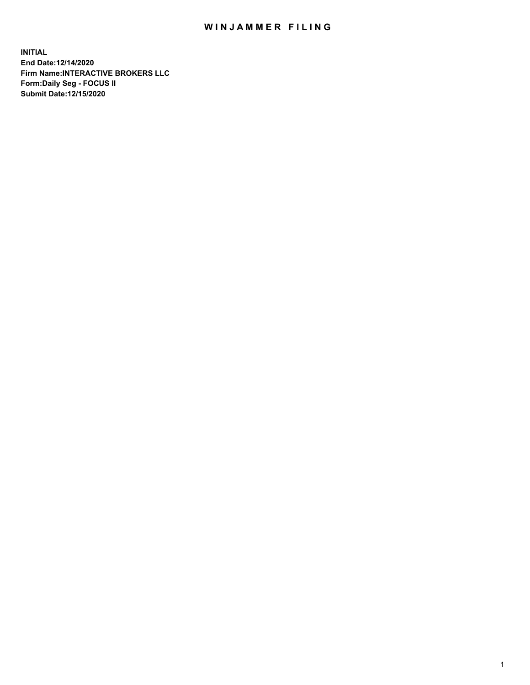## WIN JAMMER FILING

**INITIAL End Date:12/14/2020 Firm Name:INTERACTIVE BROKERS LLC Form:Daily Seg - FOCUS II Submit Date:12/15/2020**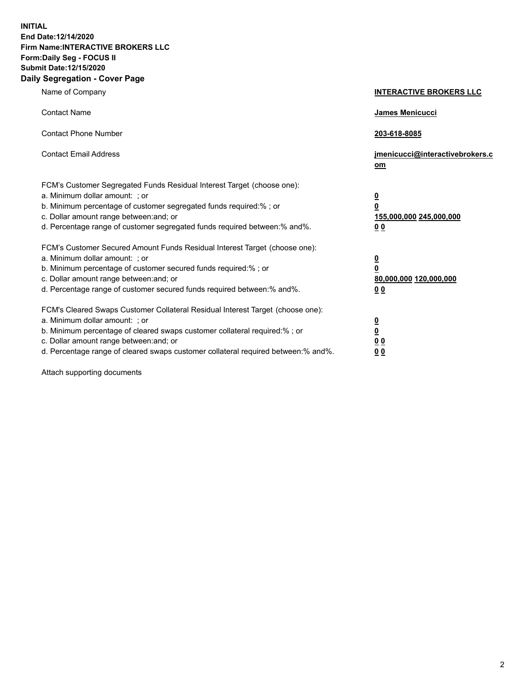**INITIAL End Date:12/14/2020 Firm Name:INTERACTIVE BROKERS LLC Form:Daily Seg - FOCUS II Submit Date:12/15/2020 Daily Segregation - Cover Page**

| Name of Company                                                                                                                                                                                                                                                                                                                | <b>INTERACTIVE BROKERS LLC</b>                                                                  |  |
|--------------------------------------------------------------------------------------------------------------------------------------------------------------------------------------------------------------------------------------------------------------------------------------------------------------------------------|-------------------------------------------------------------------------------------------------|--|
| <b>Contact Name</b>                                                                                                                                                                                                                                                                                                            | James Menicucci                                                                                 |  |
| <b>Contact Phone Number</b>                                                                                                                                                                                                                                                                                                    | 203-618-8085                                                                                    |  |
| <b>Contact Email Address</b>                                                                                                                                                                                                                                                                                                   | jmenicucci@interactivebrokers.c<br>om                                                           |  |
| FCM's Customer Segregated Funds Residual Interest Target (choose one):<br>a. Minimum dollar amount: ; or<br>b. Minimum percentage of customer segregated funds required:% ; or<br>c. Dollar amount range between: and; or<br>d. Percentage range of customer segregated funds required between:% and%.                         | $\overline{\mathbf{0}}$<br>$\overline{\mathbf{0}}$<br>155,000,000 245,000,000<br>0 <sub>0</sub> |  |
| FCM's Customer Secured Amount Funds Residual Interest Target (choose one):<br>a. Minimum dollar amount: ; or<br>b. Minimum percentage of customer secured funds required:% ; or<br>c. Dollar amount range between: and; or<br>d. Percentage range of customer secured funds required between:% and%.                           | <u>0</u><br>$\overline{\mathbf{0}}$<br>80,000,000 120,000,000<br>0 <sub>0</sub>                 |  |
| FCM's Cleared Swaps Customer Collateral Residual Interest Target (choose one):<br>a. Minimum dollar amount: ; or<br>b. Minimum percentage of cleared swaps customer collateral required:% ; or<br>c. Dollar amount range between: and; or<br>d. Percentage range of cleared swaps customer collateral required between:% and%. | $\frac{0}{0}$<br>0 <sub>0</sub><br>0 <sub>0</sub>                                               |  |

Attach supporting documents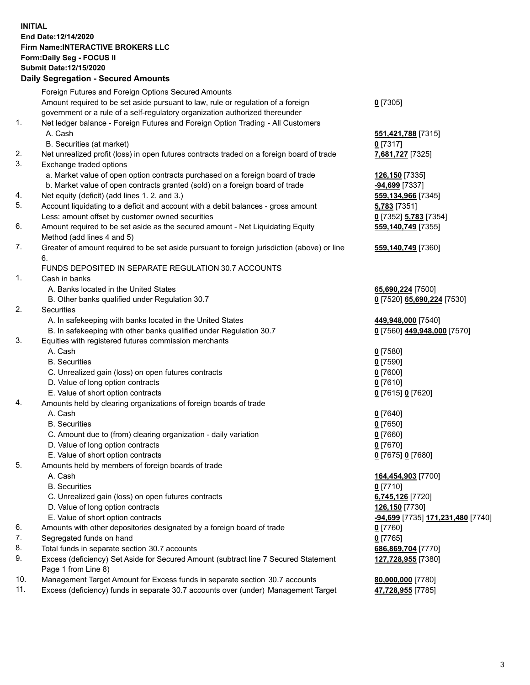**INITIAL End Date:12/14/2020 Firm Name:INTERACTIVE BROKERS LLC Form:Daily Seg - FOCUS II Submit Date:12/15/2020 Daily Segregation - Secured Amounts**

## Foreign Futures and Foreign Options Secured Amounts Amount required to be set aside pursuant to law, rule or regulation of a foreign government or a rule of a self-regulatory organization authorized thereunder **0** [7305] 1. Net ledger balance - Foreign Futures and Foreign Option Trading - All Customers A. Cash **551,421,788** [7315] B. Securities (at market) **0** [7317] 2. Net unrealized profit (loss) in open futures contracts traded on a foreign board of trade **7,681,727** [7325] 3. Exchange traded options a. Market value of open option contracts purchased on a foreign board of trade **126,150** [7335] b. Market value of open contracts granted (sold) on a foreign board of trade **-94,699** [7337] 4. Net equity (deficit) (add lines 1. 2. and 3.) **559,134,966** [7345] 5. Account liquidating to a deficit and account with a debit balances - gross amount **5,783** [7351] Less: amount offset by customer owned securities **0** [7352] **5,783** [7354] 6. Amount required to be set aside as the secured amount - Net Liquidating Equity Method (add lines 4 and 5) **559,140,749** [7355] 7. Greater of amount required to be set aside pursuant to foreign jurisdiction (above) or line 6. **559,140,749** [7360] FUNDS DEPOSITED IN SEPARATE REGULATION 30.7 ACCOUNTS 1. Cash in banks A. Banks located in the United States **65,690,224** [7500] B. Other banks qualified under Regulation 30.7 **0** [7520] **65,690,224** [7530] 2. Securities A. In safekeeping with banks located in the United States **449,948,000** [7540] B. In safekeeping with other banks qualified under Regulation 30.7 **0** [7560] **449,948,000** [7570] 3. Equities with registered futures commission merchants A. Cash **0** [7580] B. Securities **0** [7590] C. Unrealized gain (loss) on open futures contracts **0** [7600] D. Value of long option contracts **0** [7610] E. Value of short option contracts **0** [7615] **0** [7620] 4. Amounts held by clearing organizations of foreign boards of trade A. Cash **0** [7640] B. Securities **0** [7650] C. Amount due to (from) clearing organization - daily variation **0** [7660] D. Value of long option contracts **0** [7670] E. Value of short option contracts **0** [7675] **0** [7680] 5. Amounts held by members of foreign boards of trade A. Cash **164,454,903** [7700] B. Securities **0** [7710] C. Unrealized gain (loss) on open futures contracts **6,745,126** [7720] D. Value of long option contracts **126,150** [7730] E. Value of short option contracts **-94,699** [7735] **171,231,480** [7740] 6. Amounts with other depositories designated by a foreign board of trade **0** [7760] 7. Segregated funds on hand **0** [7765] 8. Total funds in separate section 30.7 accounts **686,869,704** [7770] 9. Excess (deficiency) Set Aside for Secured Amount (subtract line 7 Secured Statement Page 1 from Line 8) **127,728,955** [7380] 10. Management Target Amount for Excess funds in separate section 30.7 accounts **80,000,000** [7780] 11. Excess (deficiency) funds in separate 30.7 accounts over (under) Management Target **47,728,955** [7785]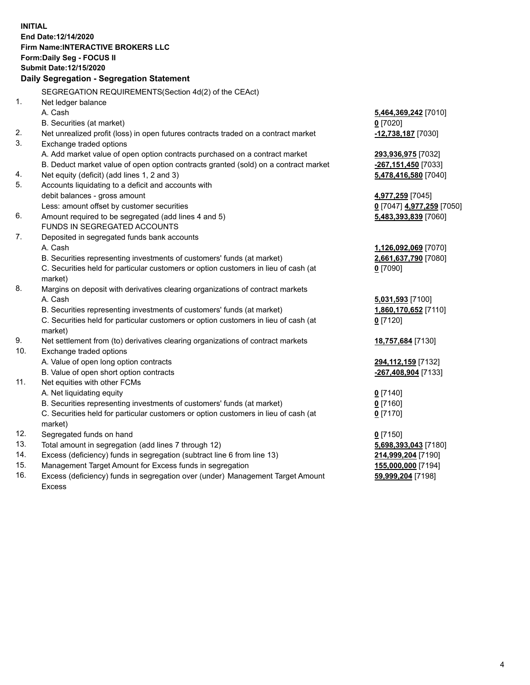**INITIAL End Date:12/14/2020 Firm Name:INTERACTIVE BROKERS LLC Form:Daily Seg - FOCUS II Submit Date:12/15/2020 Daily Segregation - Segregation Statement** SEGREGATION REQUIREMENTS(Section 4d(2) of the CEAct) 1. Net ledger balance A. Cash **5,464,369,242** [7010] B. Securities (at market) **0** [7020] 2. Net unrealized profit (loss) in open futures contracts traded on a contract market **-12,738,187** [7030] 3. Exchange traded options A. Add market value of open option contracts purchased on a contract market **293,936,975** [7032] B. Deduct market value of open option contracts granted (sold) on a contract market **-267,151,450** [7033] 4. Net equity (deficit) (add lines 1, 2 and 3) **5,478,416,580** [7040] 5. Accounts liquidating to a deficit and accounts with debit balances - gross amount **4,977,259** [7045] Less: amount offset by customer securities **0** [7047] **4,977,259** [7050] 6. Amount required to be segregated (add lines 4 and 5) **5,483,393,839** [7060] FUNDS IN SEGREGATED ACCOUNTS 7. Deposited in segregated funds bank accounts A. Cash **1,126,092,069** [7070] B. Securities representing investments of customers' funds (at market) **2,661,637,790** [7080] C. Securities held for particular customers or option customers in lieu of cash (at market) **0** [7090] 8. Margins on deposit with derivatives clearing organizations of contract markets A. Cash **5,031,593** [7100] B. Securities representing investments of customers' funds (at market) **1,860,170,652** [7110] C. Securities held for particular customers or option customers in lieu of cash (at market) **0** [7120] 9. Net settlement from (to) derivatives clearing organizations of contract markets **18,757,684** [7130] 10. Exchange traded options A. Value of open long option contracts **294,112,159** [7132] B. Value of open short option contracts **-267,408,904** [7133] 11. Net equities with other FCMs A. Net liquidating equity **0** [7140] B. Securities representing investments of customers' funds (at market) **0** [7160] C. Securities held for particular customers or option customers in lieu of cash (at market) **0** [7170] 12. Segregated funds on hand **0** [7150] 13. Total amount in segregation (add lines 7 through 12) **5,698,393,043** [7180] 14. Excess (deficiency) funds in segregation (subtract line 6 from line 13) **214,999,204** [7190] 15. Management Target Amount for Excess funds in segregation **155,000,000** [7194] 16. Excess (deficiency) funds in segregation over (under) Management Target Amount **59,999,204** [7198]

Excess